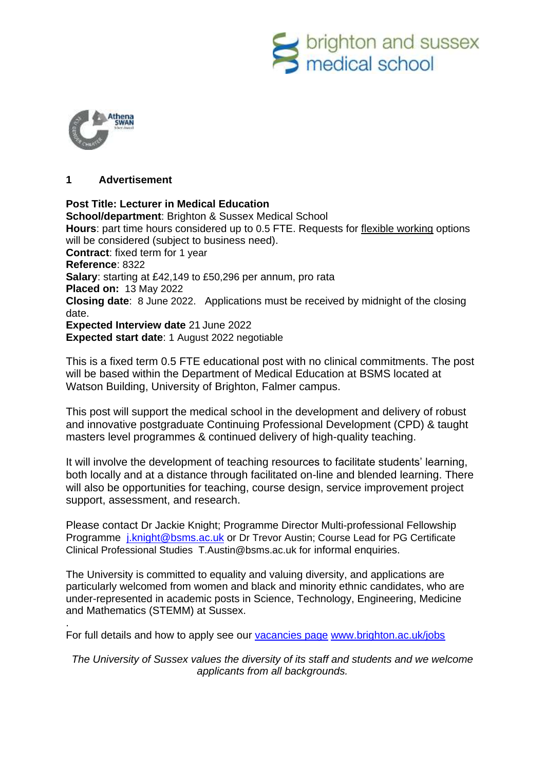



.

### **1 Advertisement**

**Post Title: Lecturer in Medical Education School/department**: Brighton & Sussex Medical School **Hours**: part time hours considered up to 0.5 FTE. Requests for [flexible working](http://www.sussex.ac.uk/humanresources/personnel/flexible-working) options will be considered (subject to business need). **Contract**: fixed term for 1 year **Reference**: 8322 **Salary**: starting at £42,149 to £50,296 per annum, pro rata **Placed on:** 13 May 2022 **Closing date**: 8 June 2022. Applications must be received by midnight of the closing date. **Expected Interview date** 21 June 2022 **Expected start date**: 1 August 2022 negotiable

This is a fixed term 0.5 FTE educational post with no clinical commitments. The post will be based within the Department of Medical Education at BSMS located at Watson Building, University of Brighton, Falmer campus.

This post will support the medical school in the development and delivery of robust and innovative postgraduate Continuing Professional Development (CPD) & taught masters level programmes & continued delivery of high-quality teaching.

It will involve the development of teaching resources to facilitate students' learning, both locally and at a distance through facilitated on-line and blended learning. There will also be opportunities for teaching, course design, service improvement project support, assessment, and research.

Please contact Dr Jackie Knight; Programme Director Multi-professional Fellowship Programme [j.knight@bsms.ac.uk](mailto:j.knight@bsms.ac.uk) or Dr Trevor Austin; Course Lead for PG Certificate Clinical Professional Studies T.Austin@bsms.ac.uk for informal enquiries.

The University is committed to equality and valuing diversity, and applications are particularly welcomed from women and black and minority ethnic candidates, who are under-represented in academic posts in Science, Technology, Engineering, Medicine and Mathematics (STEMM) at Sussex.

For full details and how to apply see our [vacancies page](http://www.sussex.ac.uk/about/jobs) [www.brighton.ac.uk/jobs](http://www.brighton.ac.uk/jobs)

*The University of Sussex values the diversity of its staff and students and we welcome applicants from all backgrounds.*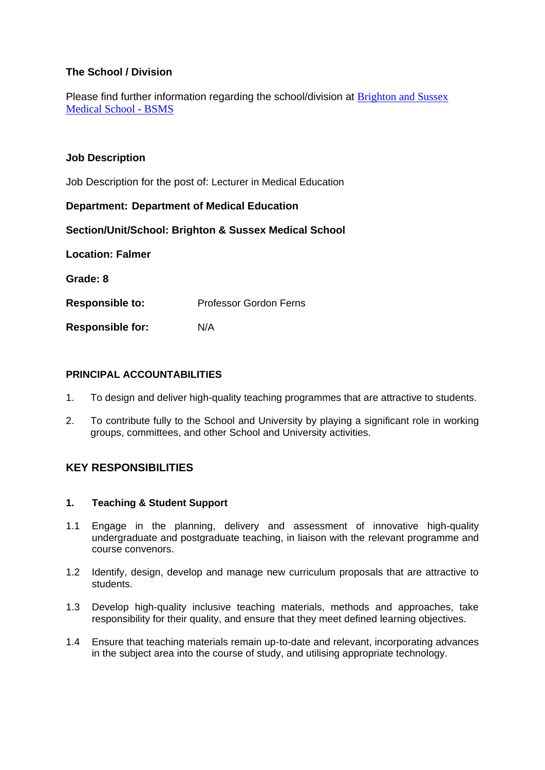# **The School / Division**

Please find further information regarding the school/division at Brighton and Sussex [Medical School -](https://www.bsms.ac.uk/index.aspx) BSMS

# **Job Description**

Job Description for the post of: Lecturer in Medical Education

# **Department: Department of Medical Education**

**Section/Unit/School: Brighton & Sussex Medical School**

**Location: Falmer Grade: 8**

**Responsible to:** Professor Gordon Ferns

**Responsible for:** N/A

#### **PRINCIPAL ACCOUNTABILITIES**

- 1. To design and deliver high-quality teaching programmes that are attractive to students.
- 2. To contribute fully to the School and University by playing a significant role in working groups, committees, and other School and University activities.

# **KEY RESPONSIBILITIES**

#### **1. Teaching & Student Support**

- 1.1 Engage in the planning, delivery and assessment of innovative high-quality undergraduate and postgraduate teaching, in liaison with the relevant programme and course convenors.
- 1.2 Identify, design, develop and manage new curriculum proposals that are attractive to students.
- 1.3 Develop high-quality inclusive teaching materials, methods and approaches, take responsibility for their quality, and ensure that they meet defined learning objectives.
- 1.4 Ensure that teaching materials remain up-to-date and relevant, incorporating advances in the subject area into the course of study, and utilising appropriate technology.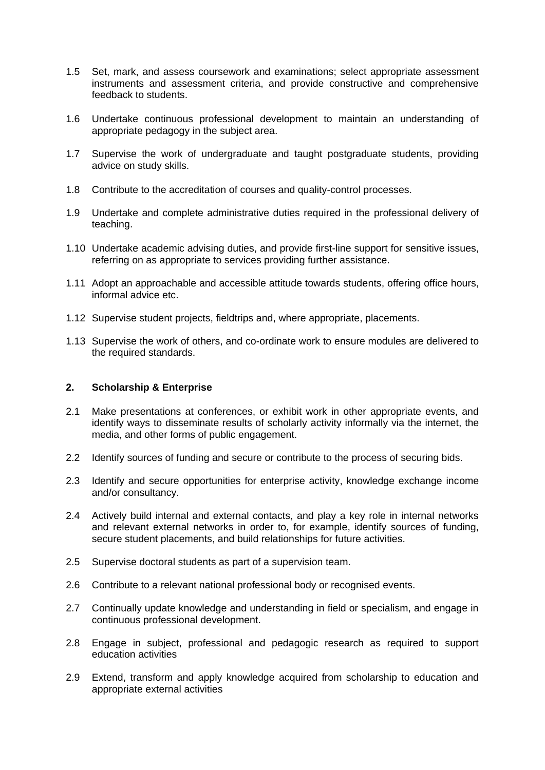- 1.5 Set, mark, and assess coursework and examinations; select appropriate assessment instruments and assessment criteria, and provide constructive and comprehensive feedback to students.
- 1.6 Undertake continuous professional development to maintain an understanding of appropriate pedagogy in the subject area.
- 1.7 Supervise the work of undergraduate and taught postgraduate students, providing advice on study skills.
- 1.8 Contribute to the accreditation of courses and quality-control processes.
- 1.9 Undertake and complete administrative duties required in the professional delivery of teaching.
- 1.10 Undertake academic advising duties, and provide first-line support for sensitive issues, referring on as appropriate to services providing further assistance.
- 1.11 Adopt an approachable and accessible attitude towards students, offering office hours, informal advice etc.
- 1.12 Supervise student projects, fieldtrips and, where appropriate, placements.
- 1.13 Supervise the work of others, and co-ordinate work to ensure modules are delivered to the required standards.

# **2. Scholarship & Enterprise**

- 2.1 Make presentations at conferences, or exhibit work in other appropriate events, and identify ways to disseminate results of scholarly activity informally via the internet, the media, and other forms of public engagement.
- 2.2 Identify sources of funding and secure or contribute to the process of securing bids.
- 2.3 Identify and secure opportunities for enterprise activity, knowledge exchange income and/or consultancy.
- 2.4 Actively build internal and external contacts, and play a key role in internal networks and relevant external networks in order to, for example, identify sources of funding, secure student placements, and build relationships for future activities.
- 2.5 Supervise doctoral students as part of a supervision team.
- 2.6 Contribute to a relevant national professional body or recognised events.
- 2.7 Continually update knowledge and understanding in field or specialism, and engage in continuous professional development.
- 2.8 Engage in subject, professional and pedagogic research as required to support education activities
- 2.9 Extend, transform and apply knowledge acquired from scholarship to education and appropriate external activities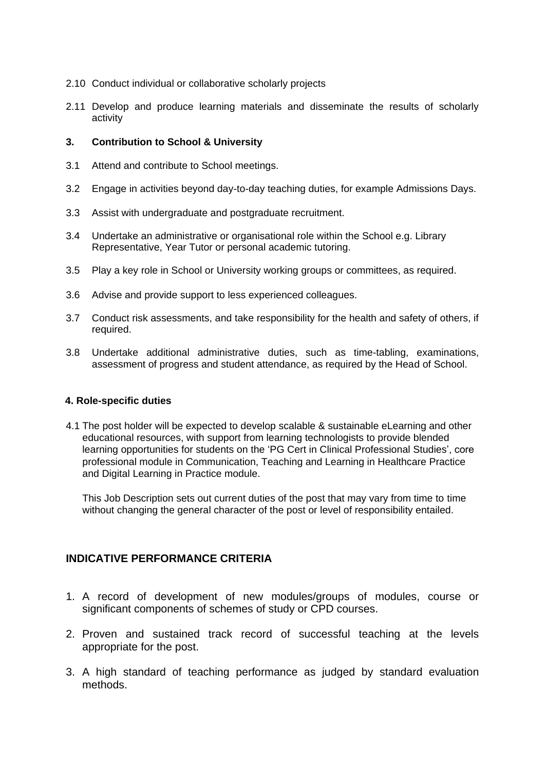- 2.10 Conduct individual or collaborative scholarly projects
- 2.11 Develop and produce learning materials and disseminate the results of scholarly activity

### **3. Contribution to School & University**

- 3.1 Attend and contribute to School meetings.
- 3.2 Engage in activities beyond day-to-day teaching duties, for example Admissions Days.
- 3.3 Assist with undergraduate and postgraduate recruitment.
- 3.4 Undertake an administrative or organisational role within the School e.g. Library Representative, Year Tutor or personal academic tutoring.
- 3.5 Play a key role in School or University working groups or committees, as required.
- 3.6 Advise and provide support to less experienced colleagues.
- 3.7 Conduct risk assessments, and take responsibility for the health and safety of others, if required.
- 3.8 Undertake additional administrative duties, such as time-tabling, examinations, assessment of progress and student attendance, as required by the Head of School.

#### **4. Role-specific duties**

4.1 The post holder will be expected to develop scalable & sustainable eLearning and other educational resources, with support from learning technologists to provide blended learning opportunities for students on the 'PG Cert in Clinical Professional Studies', core professional module in Communication, Teaching and Learning in Healthcare Practice and Digital Learning in Practice module.

This Job Description sets out current duties of the post that may vary from time to time without changing the general character of the post or level of responsibility entailed.

# **INDICATIVE PERFORMANCE CRITERIA**

- 1. A record of development of new modules/groups of modules, course or significant components of schemes of study or CPD courses.
- 2. Proven and sustained track record of successful teaching at the levels appropriate for the post.
- 3. A high standard of teaching performance as judged by standard evaluation methods.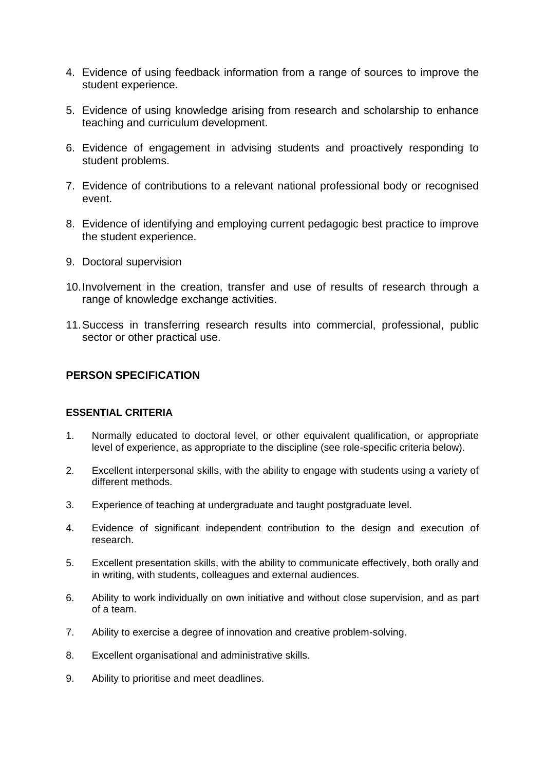- 4. Evidence of using feedback information from a range of sources to improve the student experience.
- 5. Evidence of using knowledge arising from research and scholarship to enhance teaching and curriculum development.
- 6. Evidence of engagement in advising students and proactively responding to student problems.
- 7. Evidence of contributions to a relevant national professional body or recognised event.
- 8. Evidence of identifying and employing current pedagogic best practice to improve the student experience.
- 9. Doctoral supervision
- 10.Involvement in the creation, transfer and use of results of research through a range of knowledge exchange activities.
- 11.Success in transferring research results into commercial, professional, public sector or other practical use.

# **PERSON SPECIFICATION**

#### **ESSENTIAL CRITERIA**

- 1. Normally educated to doctoral level, or other equivalent qualification, or appropriate level of experience, as appropriate to the discipline (see role-specific criteria below).
- 2. Excellent interpersonal skills, with the ability to engage with students using a variety of different methods.
- 3. Experience of teaching at undergraduate and taught postgraduate level.
- 4. Evidence of significant independent contribution to the design and execution of research.
- 5. Excellent presentation skills, with the ability to communicate effectively, both orally and in writing, with students, colleagues and external audiences.
- 6. Ability to work individually on own initiative and without close supervision, and as part of a team.
- 7. Ability to exercise a degree of innovation and creative problem-solving.
- 8. Excellent organisational and administrative skills.
- 9. Ability to prioritise and meet deadlines.